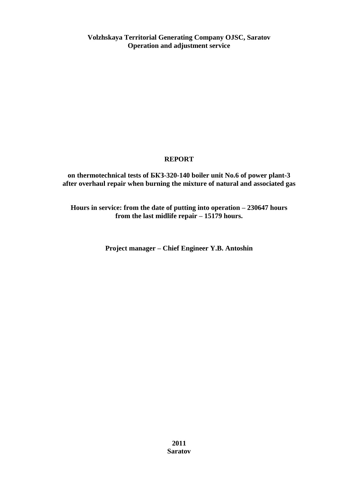**Volzhskaya Territorial Generating Company OJSC, Saratov Operation and adjustment service**

## **REPORT**

**on thermotechnical tests of БКЗ-320-140 boiler unit No.6 of power plant-3 after overhaul repair when burning the mixture of natural and associated gas**

**Hours in service: from the date of putting into operation – 230647 hours from the last midlife repair – 15179 hours.**

**Project manager – Chief Engineer Y.B. Antoshin**

**2011 Saratov**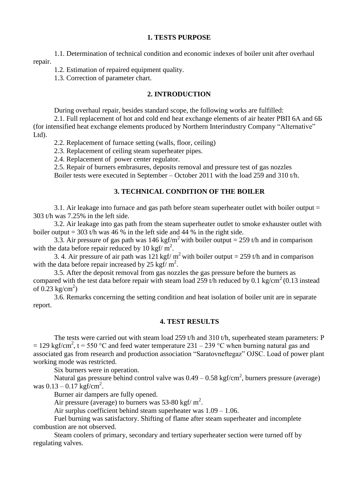#### **1. TESTS PURPOSE**

1.1. Determination of technical condition and economic indexes of boiler unit after overhaul repair.

1.2. Estimation of repaired equipment quality.

1.3. Correction of parameter chart.

### **2. INTRODUCTION**

During overhaul repair, besides standard scope, the following works are fulfilled:

2.1. Full replacement of hot and cold end heat exchange elements of air heater РВП 6А and 6Б (for intensified heat exchange elements produced by Northern Interindustry Company "Alternative" Ltd).

2.2. Replacement of furnace setting (walls, floor, ceiling)

2.3. Replacement of ceiling steam superheater pipes.

2.4. Replacement of power center regulator.

2.5. Repair of burners embrasures, deposits removal and pressure test of gas nozzles

Boiler tests were executed in September – October 2011 with the load 259 and 310 t/h.

### **3. TECHNICAL CONDITION OF THE BOILER**

3.1. Air leakage into furnace and gas path before steam superheater outlet with boiler output = 303 t/h was 7.25% in the left side.

3.2. Air leakage into gas path from the steam superheater outlet to smoke exhauster outlet with boiler output = 303 t/h was 46 % in the left side and 44 % in the right side.

3.3. Air pressure of gas path was 146 kgf/m<sup>2</sup> with boiler output = 259 t/h and in comparison with the data before repair reduced by 10 kgf/ $m^2$ .

3. 4. Air pressure of air path was 121 kgf/  $m^2$  with boiler output = 259 t/h and in comparison with the data before repair increased by 25 kgf/ $m^2$ .

3.5. After the deposit removal from gas nozzles the gas pressure before the burners as compared with the test data before repair with steam load 259 t/h reduced by 0.1 kg/cm<sup>2</sup> (0.13 instead of  $0.23 \text{ kg/cm}^2$ )

3.6. Remarks concerning the setting condition and heat isolation of boiler unit are in separate report.

#### **4. TEST RESULTS**

The tests were carried out with steam load 259 t/h and 310 t/h, superheated steam parameters: P = 129 kgf/cm<sup>2</sup>, t = 550 °C and feed water temperature 231 – 239 °C when burning natural gas and associated gas from research and production association "Saratovneftegaz" OJSC. Load of power plant working mode was restricted.

Six burners were in operation.

Natural gas pressure behind control valve was  $0.49 - 0.58 \text{ kgf/cm}^2$ , burners pressure (average) was  $0.13 - 0.17$  kgf/cm<sup>2</sup>.

Burner air dampers are fully opened.

Air pressure (average) to burners was 53-80 kgf/ $m^2$ .

Air surplus coefficient behind steam superheater was 1.09 – 1.06.

Fuel burning was satisfactory. Shifting of flame after steam superheater and incomplete combustion are not observed.

Steam coolers of primary, secondary and tertiary superheater section were turned off by regulating valves.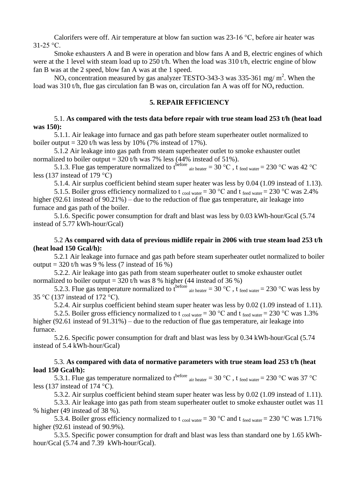Calorifers were off. Air temperature at blow fan suction was 23-16 °C, before air heater was  $31-25$  °C.

Smoke exhausters A and B were in operation and blow fans A and B, electric engines of which were at the 1 level with steam load up to 250 t/h. When the load was 310 t/h, electric engine of blow fan B was at the 2 speed, blow fan A was at the 1 speed.

NO<sub>x</sub> concentration measured by gas analyzer TESTO-343-3 was 335-361 mg/m<sup>2</sup>. When the load was 310 t/h, flue gas circulation fan B was on, circulation fan A was off for  $NO<sub>x</sub>$  reduction.

#### **5. REPAIR EFFICIENCY**

#### 5.1. **As compared with the tests data before repair with true steam load 253 t/h (heat load was 150):**

5.1.1. Air leakage into furnace and gas path before steam superheater outlet normalized to boiler output =  $320$  t/h was less by 10% (7% instead of 17%).

5.1.2 Air leakage into gas path from steam superheater outlet to smoke exhauster outlet normalized to boiler output =  $320$  t/h was 7% less (44% instead of 51%).

5.1.3. Flue gas temperature normalized to t<sup>before</sup>  $_{air \text{ heater}} = 30 \degree \text{C}$ , t  $_{feed \text{water}} = 230 \degree \text{C}$  was 42  $^{\circ} \text{C}$ less (137 instead of 179 °C)

5.1.4. Air surplus coefficient behind steam super heater was less by 0.04 (1.09 instead of 1.13).

5.1.5. Boiler gross efficiency normalized to t <sub>cool water</sub> = 30 °C and t <sub>feed water</sub> = 230 °C was 2.4% higher (92.61 instead of 90.21%) – due to the reduction of flue gas temperature, air leakage into furnace and gas path of the boiler.

5.1.6. Specific power consumption for draft and blast was less by 0.03 kWh-hour/Gcal (5.74 instead of 5.77 kWh-hour/Gcal)

#### 5.2 **As compared with data of previous midlife repair in 2006 with true steam load 253 t/h (heat load 150 Gcal/h):**

5.2.1 Air leakage into furnace and gas path before steam superheater outlet normalized to boiler output =  $320$  t/h was 9 % less (7 instead of 16 %)

5.2.2. Air leakage into gas path from steam superheater outlet to smoke exhauster outlet normalized to boiler output =  $320$  t/h was 8 % higher (44 instead of 36 %)

5.2.3. Flue gas temperature normalized to t<sup>before</sup>  $_{air \text{ heater}} = 30 \degree C$ , t  $_{feed \text{water}} = 230 \degree C$  was less by 35 °C (137 instead of 172 °C).

5.2.4. Air surplus coefficient behind steam super heater was less by 0.02 (1.09 instead of 1.11).

5.2.5. Boiler gross efficiency normalized to t <sub>cool water</sub> = 30 °C and t <sub>feed water</sub> = 230 °C was 1.3% higher (92.61 instead of 91.31%) – due to the reduction of flue gas temperature, air leakage into furnace.

5.2.6. Specific power consumption for draft and blast was less by 0.34 kWh-hour/Gcal (5.74 instead of 5.4 kWh-hour/Gcal)

#### 5.3. **As compared with data of normative parameters with true steam load 253 t/h (heat load 150 Gcal/h):**

5.3.1. Flue gas temperature normalized to t<sup>before</sup>  $_{air \text{ heater}} = 30 \degree \text{C}$ , t  $_{feed \text{water}} = 230 \degree \text{C}$  was 37  $^{\circ} \text{C}$ less (137 instead of 174 °C).

5.3.2. Air surplus coefficient behind steam super heater was less by 0.02 (1.09 instead of 1.11).

5.3.3. Air leakage into gas path from steam superheater outlet to smoke exhauster outlet was 11 % higher (49 instead of 38 %).

5.3.4. Boiler gross efficiency normalized to t <sub>cool water</sub> = 30 °C and t <sub>feed water</sub> = 230 °C was 1.71% higher (92.61 instead of 90.9%).

5.3.5. Specific power consumption for draft and blast was less than standard one by 1.65 kWhhour/Gcal (5.74 and 7.39 kWh-hour/Gcal).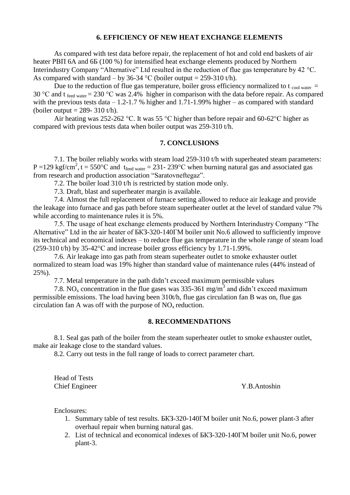#### **6. EFFICIENCY OF NEW HEAT EXCHANGE ELEMENTS**

As compared with test data before repair, the replacement of hot and cold end baskets of air heater РВП 6А and 6Б (100 %) for intensified heat exchange elements produced by Northern Interindustry Company "Alternative" Ltd resulted in the reduction of flue gas temperature by 42 °C. As compared with standard – by 36-34 °C (boiler output = 259-310 t/h).

Due to the reduction of flue gas temperature, boiler gross efficiency normalized to t  $_{cool water}$  = 30 °C and t feed water = 230 °C was 2.4% higher in comparison with the data before repair. As compared with the previous tests data  $-1.2$ -1.7 % higher and 1.71-1.99% higher – as compared with standard (boiler output  $= 289 - 310$  t/h).

Air heating was 252-262 °C. It was 55 °C higher than before repair and 60-62°C higher as compared with previous tests data when boiler output was 259-310 t/h.

### **7. CONCLUSIONS**

7.1. The boiler reliably works with steam load 259-310 t/h with superheated steam parameters:  $P = 129$  kgf/cm<sup>2</sup>, t = 550°C and t<sub>feed water</sub> = 231- 239°C when burning natural gas and associated gas from research and production association "Saratovneftegaz".

7.2. The boiler load 310 t/h is restricted by station mode only.

7.3. Draft, blast and superheater margin is available.

7.4. Almost the full replacement of furnace setting allowed to reduce air leakage and provide the leakage into furnace and gas path before steam superheater outlet at the level of standard value 7% while according to maintenance rules it is 5%.

7.5. The usage of heat exchange elements produced by Northern Interindustry Company "The Alternative" Ltd in the air heater of БКЗ-320-140ГМ boiler unit No.6 allowed to sufficiently improve its technical and economical indexes – to reduce flue gas temperature in the whole range of steam load (259-310 t/h) by 35-42°C and increase boiler gross efficiency by 1.71-1.99%.

7.6. Air leakage into gas path from steam superheater outlet to smoke exhauster outlet normalized to steam load was 19% higher than standard value of maintenance rules (44% instead of 25%).

7.7. Metal temperature in the path didn't exceed maximum permissible values

7.8. NO<sub>x</sub> concentration in the flue gases was 335-361 mg/m<sup>3</sup> and didn't exceed maximum permissible emissions. The load having been 310t/h, flue gas circulation fan B was on, flue gas circulation fan A was off with the purpose of  $NO<sub>x</sub>$  reduction.

#### **8. RECOMMENDATIONS**

8.1. Seal gas path of the boiler from the steam superheater outlet to smoke exhauster outlet, make air leakage close to the standard values.

8.2. Carry out tests in the full range of loads to correct parameter chart.

Head of Tests Chief Engineer Y.B.Antoshin

Enclosures:

- 1. Summary table of test results. БКЗ-320-140ГМ boiler unit No.6, power plant-3 after overhaul repair when burning natural gas.
- 2. List of technical and economical indexes of БКЗ-320-140ГМ boiler unit No.6, power plant-3.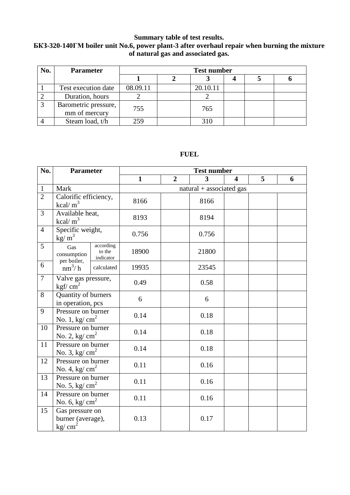## **Summary table of test results.**

## **БКЗ-320-140ГМ boiler unit No.6, power plant-3 after overhaul repair when burning the mixture of natural gas and associated gas.**

| No. | <b>Parameter</b>                      | <b>Test number</b> |  |          |  |  |  |  |  |
|-----|---------------------------------------|--------------------|--|----------|--|--|--|--|--|
|     |                                       |                    |  |          |  |  |  |  |  |
|     | Test execution date                   | 08.09.11           |  | 20.10.11 |  |  |  |  |  |
|     | Duration, hours                       |                    |  |          |  |  |  |  |  |
|     | Barometric pressure,<br>mm of mercury | 755                |  | 765      |  |  |  |  |  |
|     | Steam load, t/h                       | 259                |  | 310      |  |  |  |  |  |

## **FUEL**

| No.            | <b>Parameter</b>                                                |                                  | <b>Test number</b> |                |                          |                         |   |   |
|----------------|-----------------------------------------------------------------|----------------------------------|--------------------|----------------|--------------------------|-------------------------|---|---|
|                |                                                                 |                                  | $\mathbf{1}$       | $\overline{2}$ | $\overline{3}$           | $\overline{\mathbf{4}}$ | 5 | 6 |
| $\mathbf{1}$   | Mark                                                            |                                  |                    |                | natural + associated gas |                         |   |   |
| $\overline{2}$ | Calorific efficiency,<br>kcal/ $m3$                             |                                  | 8166               |                | 8166                     |                         |   |   |
| 3              | Available heat,<br>kcal/ $m3$                                   |                                  | 8193               |                | 8194                     |                         |   |   |
| $\overline{4}$ | Specific weight,<br>$\text{kg/m}^3$                             |                                  | 0.756              |                | 0.756                    |                         |   |   |
| 5              | Gas<br>consumption                                              | according<br>to the<br>indicator | 18900              |                | 21800                    |                         |   |   |
| 6              | per boiler,<br>$nm^3/h$                                         | calculated                       | 19935              |                | 23545                    |                         |   |   |
| $\overline{7}$ | Valve gas pressure,<br>kgf/ $cm2$                               |                                  | 0.49               |                | 0.58                     |                         |   |   |
| 8              | Quantity of burners<br>in operation, pcs                        |                                  | 6                  |                | 6                        |                         |   |   |
| 9              | Pressure on burner<br>No. 1, kg/ $cm2$                          |                                  | 0.14               |                | 0.18                     |                         |   |   |
| 10             | Pressure on burner<br>No. 2, kg/ $\text{cm}^2$                  |                                  | 0.14               |                | 0.18                     |                         |   |   |
| 11             | Pressure on burner<br>No. 3, kg/ $cm2$                          |                                  | 0.14               |                | 0.18                     |                         |   |   |
| 12             | Pressure on burner<br>No. 4, kg/ $cm2$                          |                                  | 0.11               |                | 0.16                     |                         |   |   |
| 13             | Pressure on burner<br>No. 5, kg/ $cm2$                          |                                  | 0.11               |                | 0.16                     |                         |   |   |
| 14             | Pressure on burner<br>No. 6, kg/ $cm2$                          |                                  | 0.11               |                | 0.16                     |                         |   |   |
| 15             | Gas pressure on<br>burner (average),<br>$\text{kg}/\text{cm}^2$ |                                  | 0.13               |                | 0.17                     |                         |   |   |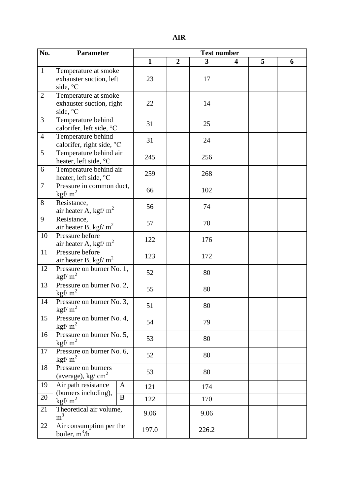| No.            | <b>Parameter</b>                       |          | <b>Test number</b> |                |       |   |   |   |
|----------------|----------------------------------------|----------|--------------------|----------------|-------|---|---|---|
|                |                                        |          | $\mathbf{1}$       | $\overline{2}$ | 3     | 4 | 5 | 6 |
| $\mathbf{1}$   | Temperature at smoke                   |          |                    |                |       |   |   |   |
|                | exhauster suction, left                |          | 23                 |                | 17    |   |   |   |
|                | side, °C                               |          |                    |                |       |   |   |   |
| $\mathfrak{2}$ | Temperature at smoke                   |          |                    |                |       |   |   |   |
|                | exhauster suction, right               |          | 22                 |                | 14    |   |   |   |
|                | side, °C                               |          |                    |                |       |   |   |   |
| 3              | Temperature behind                     |          | 31                 |                | 25    |   |   |   |
|                | calorifer, left side, °C               |          |                    |                |       |   |   |   |
| $\overline{4}$ | Temperature behind                     |          | 31                 |                | 24    |   |   |   |
|                | calorifer, right side, °C              |          |                    |                |       |   |   |   |
| 5              | Temperature behind air                 |          | 245                |                | 256   |   |   |   |
|                | heater, left side, °C                  |          |                    |                |       |   |   |   |
| 6              | Temperature behind air                 |          | 259                |                | 268   |   |   |   |
| $\overline{7}$ | heater, left side, °C                  |          |                    |                |       |   |   |   |
|                | Pressure in common duct,               |          | 66                 |                | 102   |   |   |   |
| 8              | kgf/ $m^2$                             |          |                    |                |       |   |   |   |
|                | Resistance,                            |          | 56                 |                | 74    |   |   |   |
| 9              | air heater A, kgf/ $m2$<br>Resistance, |          |                    |                |       |   |   |   |
|                | air heater B, kgf/ $m2$                |          | 57                 |                | 70    |   |   |   |
| 10             | Pressure before                        |          |                    |                |       |   |   |   |
|                | air heater A, kgf/ $m^2$               |          | 122                |                | 176   |   |   |   |
| 11             | Pressure before                        |          |                    |                |       |   |   |   |
|                | air heater B, kgf/ $m2$                |          | 123                |                | 172   |   |   |   |
| 12             | Pressure on burner No. 1,              |          |                    |                |       |   |   |   |
|                | kgf/ $m^2$                             |          | 52                 |                | 80    |   |   |   |
| 13             | Pressure on burner No. 2,              |          |                    |                |       |   |   |   |
|                | kgf/ $m^2$                             |          | 55                 |                | 80    |   |   |   |
| 14             | Pressure on burner No. 3,              |          | 51                 |                |       |   |   |   |
|                | kgf/ $m^2$                             |          |                    |                | 80    |   |   |   |
| 15             | Pressure on burner No. 4,              |          | 54                 |                | 79    |   |   |   |
|                | kgf/ $m^2$                             |          |                    |                |       |   |   |   |
| 16             | Pressure on burner No. 5,              |          | 53                 |                | 80    |   |   |   |
|                | kgf/ $m^2$                             |          |                    |                |       |   |   |   |
| 17             | Pressure on burner No. 6,              |          | 52                 |                | 80    |   |   |   |
|                | $\frac{\text{kgf}}{\text{m}^2}$        |          |                    |                |       |   |   |   |
| 18             | Pressure on burners                    |          | 53                 |                | 80    |   |   |   |
|                | (average), kg/ $\text{cm}^2$           |          |                    |                |       |   |   |   |
| 19             | Air path resistance                    | A        | 121                |                | 174   |   |   |   |
| 20             | (burners including),                   | $\bf{B}$ | 122                |                | 170   |   |   |   |
|                | kgf/ $m^2$                             |          |                    |                |       |   |   |   |
| 21             | Theoretical air volume,                |          | 9.06               |                | 9.06  |   |   |   |
|                | m <sup>3</sup>                         |          |                    |                |       |   |   |   |
| 22             | Air consumption per the                |          | 197.0              |                | 226.2 |   |   |   |
|                | boiler, $m^3/h$                        |          |                    |                |       |   |   |   |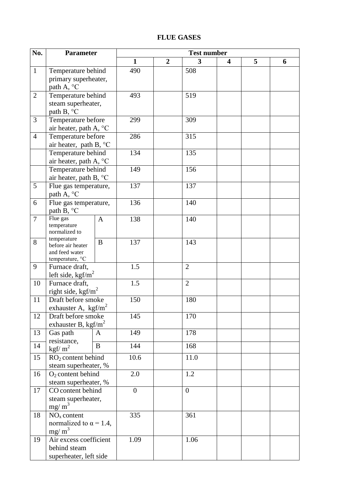# **FLUE GASES**

| No.            | <b>Parameter</b>                               |              | <b>Test number</b> |                |                  |   |   |   |
|----------------|------------------------------------------------|--------------|--------------------|----------------|------------------|---|---|---|
|                |                                                |              | $\mathbf{1}$       | $\overline{2}$ | 3                | 4 | 5 | 6 |
| $\mathbf{1}$   | Temperature behind                             |              | 490                |                | 508              |   |   |   |
|                | primary superheater,                           |              |                    |                |                  |   |   |   |
|                | path A, °C                                     |              |                    |                |                  |   |   |   |
| $\overline{2}$ | Temperature behind                             |              | 493                |                | 519              |   |   |   |
|                | steam superheater,                             |              |                    |                |                  |   |   |   |
|                | path B, °C                                     |              |                    |                |                  |   |   |   |
| 3              | Temperature before                             |              | 299                |                | 309              |   |   |   |
|                | air heater, path A, °C                         |              |                    |                |                  |   |   |   |
| $\overline{4}$ | Temperature before                             |              | 286                |                | 315              |   |   |   |
|                | air heater, path B, °C                         |              |                    |                |                  |   |   |   |
|                | Temperature behind                             |              | 134                |                | 135              |   |   |   |
|                | air heater, path A, °C                         |              |                    |                |                  |   |   |   |
|                | Temperature behind                             |              | 149                |                | 156              |   |   |   |
|                | air heater, path B, °C                         |              |                    |                |                  |   |   |   |
| 5              | Flue gas temperature,                          |              | 137                |                | 137              |   |   |   |
|                | path A, $^{\circ}$ C                           |              |                    |                |                  |   |   |   |
| 6              | Flue gas temperature,                          |              | 136                |                | 140              |   |   |   |
|                | path B, °C                                     |              |                    |                |                  |   |   |   |
| $\overline{7}$ | Flue gas<br>temperature                        | $\mathbf{A}$ | 138                |                | 140              |   |   |   |
|                | normalized to                                  |              |                    |                |                  |   |   |   |
| 8              | temperature                                    | $\bf{B}$     | 137                |                | 143              |   |   |   |
|                | before air heater                              |              |                    |                |                  |   |   |   |
|                | and feed water<br>temperature, °C              |              |                    |                |                  |   |   |   |
| 9              | Furnace draft,                                 |              | 1.5                |                | $\overline{2}$   |   |   |   |
|                | left side, $\text{kgf/m}^2$                    |              |                    |                |                  |   |   |   |
| 10             | Furnace draft,                                 |              | 1.5                |                | $\overline{2}$   |   |   |   |
|                | right side, kgf/m <sup>2</sup>                 |              |                    |                |                  |   |   |   |
| 11             | Draft before smoke                             |              | 150                |                | 180              |   |   |   |
|                | exhauster A, $\text{kgf/m}^2$                  |              |                    |                |                  |   |   |   |
| 12             | Draft before smoke                             |              | 145                |                | 170              |   |   |   |
|                | exhauster B, $\text{kgf/m}^2$                  |              |                    |                |                  |   |   |   |
| 13             | Gas path                                       | A            | 149                |                | 178              |   |   |   |
| 14             | resistance,                                    | $\bf{B}$     | 144                |                | 168              |   |   |   |
|                | kgf/ $m2$                                      |              |                    |                |                  |   |   |   |
| 15             | $RO2$ content behind                           |              | 10.6               |                | 11.0             |   |   |   |
|                | steam superheater, %                           |              |                    |                |                  |   |   |   |
| 16             | $O2$ content behind                            |              | 2.0                |                | 1.2              |   |   |   |
|                | steam superheater, %                           |              |                    |                |                  |   |   |   |
| 17             | CO content behind                              |              | $\overline{0}$     |                | $\boldsymbol{0}$ |   |   |   |
|                | steam superheater,                             |              |                    |                |                  |   |   |   |
|                | $mg/m^3$                                       |              |                    |                | 361              |   |   |   |
| 18             | $NOx$ content<br>normalized to $\alpha$ = 1.4, |              | 335                |                |                  |   |   |   |
|                | $mg/m^3$                                       |              |                    |                |                  |   |   |   |
| 19             | Air excess coefficient                         |              | 1.09               |                | 1.06             |   |   |   |
|                | behind steam                                   |              |                    |                |                  |   |   |   |
|                | superheater, left side                         |              |                    |                |                  |   |   |   |
|                |                                                |              |                    |                |                  |   |   |   |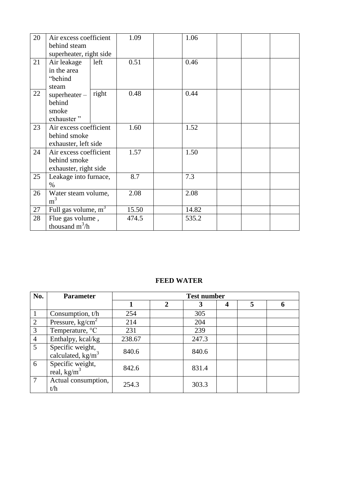| 20 | Air excess coefficient<br>behind steam                          |       | 1.09  | 1.06  |  |  |
|----|-----------------------------------------------------------------|-------|-------|-------|--|--|
|    | superheater, right side                                         |       |       |       |  |  |
| 21 | Air leakage<br>in the area<br>"behind<br>steam                  | left  | 0.51  | 0.46  |  |  |
| 22 | $superheater -$<br>behind<br>smoke<br>exhauster"                | right | 0.48  | 0.44  |  |  |
| 23 | Air excess coefficient<br>behind smoke<br>exhauster, left side  |       | 1.60  | 1.52  |  |  |
| 24 | Air excess coefficient<br>behind smoke<br>exhauster, right side |       | 1.57  | 1.50  |  |  |
| 25 | Leakage into furnace,<br>$\%$                                   |       | 8.7   | 7.3   |  |  |
| 26 | Water steam volume,<br>m <sup>3</sup>                           |       | 2.08  | 2.08  |  |  |
| 27 | Full gas volume, $m^3$                                          |       | 15.50 | 14.82 |  |  |
| 28 | Flue gas volume,<br>thousand $m^3/h$                            |       | 474.5 | 535.2 |  |  |

# **FEED WATER**

| No.            | <b>Parameter</b>                                | <b>Test number</b> |              |       |   |   |   |  |  |
|----------------|-------------------------------------------------|--------------------|--------------|-------|---|---|---|--|--|
|                |                                                 |                    | $\mathbf{2}$ | 3     | 4 | 5 | 6 |  |  |
|                | Consumption, $t/h$                              | 254                |              | 305   |   |   |   |  |  |
| $\overline{2}$ | Pressure, $kg/cm2$                              | 214                |              | 204   |   |   |   |  |  |
| 3              | Temperature, °C                                 | 231                |              | 239   |   |   |   |  |  |
| $\overline{4}$ | Enthalpy, kcal/kg                               | 238.67             |              | 247.3 |   |   |   |  |  |
| 5              | Specific weight,<br>calculated, $\text{kg/m}^3$ | 840.6              |              | 840.6 |   |   |   |  |  |
| 6              | Specific weight,<br>real, $\text{kg/m}^3$       | 842.6              |              | 831.4 |   |   |   |  |  |
| $\overline{7}$ | Actual consumption,<br>t/h                      | 254.3              |              | 303.3 |   |   |   |  |  |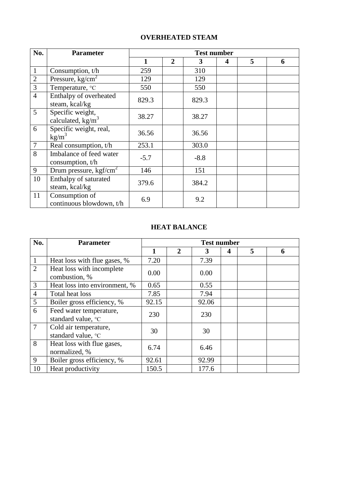# **OVERHEATED STEAM**

| No.            | <b>Parameter</b>                                | <b>Test number</b> |                |        |                  |   |   |
|----------------|-------------------------------------------------|--------------------|----------------|--------|------------------|---|---|
|                |                                                 | $\mathbf{1}$       | $\overline{2}$ | 3      | $\boldsymbol{4}$ | 5 | 6 |
| $\mathbf{1}$   | Consumption, t/h                                | 259                |                | 310    |                  |   |   |
| $\overline{2}$ | Pressure, $kg/cm2$                              | 129                |                | 129    |                  |   |   |
| $\overline{3}$ | Temperature, °C                                 | 550                |                | 550    |                  |   |   |
| $\overline{4}$ | Enthalpy of overheated<br>steam, kcal/kg        | 829.3              |                | 829.3  |                  |   |   |
| 5              | Specific weight,<br>calculated, $\text{kg/m}^3$ | 38.27              |                | 38.27  |                  |   |   |
| 6              | Specific weight, real,<br>$kg/m^3$              | 36.56              |                | 36.56  |                  |   |   |
| $\overline{7}$ | Real consumption, t/h                           | 253.1              |                | 303.0  |                  |   |   |
| 8              | Imbalance of feed water<br>consumption, t/h     | $-5.7$             |                | $-8.8$ |                  |   |   |
| 9              | Drum pressure, $\text{kgf/cm}^2$                | 146                |                | 151    |                  |   |   |
| 10             | Enthalpy of saturated<br>steam, kcal/kg         | 379.6              |                | 384.2  |                  |   |   |
| 11             | Consumption of<br>continuous blowdown, t/h      | 6.9                |                | 9.2    |                  |   |   |

#### **HEAT BALANCE**

| No.            | <b>Parameter</b>                              |       |              |       | <b>Test number</b> |   |   |
|----------------|-----------------------------------------------|-------|--------------|-------|--------------------|---|---|
|                |                                               | 1     | $\mathbf{2}$ | 3     | 4                  | 5 | 6 |
| $\mathbf{1}$   | Heat loss with flue gases, %                  | 7.20  |              | 7.39  |                    |   |   |
| $\overline{2}$ | Heat loss with incomplete<br>combustion, %    | 0.00  |              | 0.00  |                    |   |   |
| 3              | Heat loss into environment, %                 | 0.65  |              | 0.55  |                    |   |   |
| $\overline{4}$ | Total heat loss                               | 7.85  |              | 7.94  |                    |   |   |
| 5              | Boiler gross efficiency, %                    | 92.15 |              | 92.06 |                    |   |   |
| 6              | Feed water temperature,<br>standard value, °C | 230   |              | 230   |                    |   |   |
| $\overline{7}$ | Cold air temperature,<br>standard value, °C   | 30    |              | 30    |                    |   |   |
| 8              | Heat loss with flue gases,<br>normalized, %   | 6.74  |              | 6.46  |                    |   |   |
| 9              | Boiler gross efficiency, %                    | 92.61 |              | 92.99 |                    |   |   |
| 10             | Heat productivity                             | 150.5 |              | 177.6 |                    |   |   |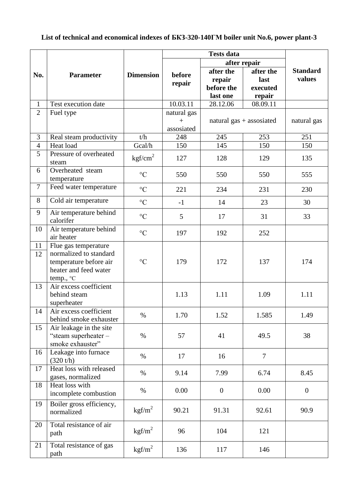# **List of technical and economical indexes of БКЗ-320-140ГМ boiler unit No.6, power plant-3**

|                |                          |                     |             |                            | after repair   |                 |
|----------------|--------------------------|---------------------|-------------|----------------------------|----------------|-----------------|
| No.            | <b>Parameter</b>         | <b>Dimension</b>    | before      | after the                  | after the      | <b>Standard</b> |
|                |                          |                     |             | repair                     | last           | values          |
|                |                          |                     | repair      | before the                 | executed       |                 |
|                |                          |                     |             | last one                   | repair         |                 |
| $\mathbf{1}$   | Test execution date      |                     | 10.03.11    | 28.12.06                   | 08.09.11       |                 |
| $\overline{2}$ | Fuel type                |                     | natural gas |                            |                |                 |
|                |                          |                     | $\ddot{}$   | natural $gas + associated$ |                | natural gas     |
|                |                          |                     | assosiated  |                            |                |                 |
| $\mathfrak{Z}$ | Real steam productivity  | t/h                 | 248         | 245                        | 253            | 251             |
| $\overline{4}$ | Heat load                | Gcal/h              | 150         | 145                        | 150            | 150             |
| 5              | Pressure of overheated   |                     |             |                            |                |                 |
|                | steam                    | kgf/cm <sup>2</sup> | 127         | 128                        | 129            | 135             |
| 6              | Overheated steam         |                     |             |                            |                |                 |
|                | temperature              | $\rm ^{\circ}C$     | 550         | 550                        | 550            | 555             |
| $\tau$         | Feed water temperature   |                     |             |                            |                |                 |
|                |                          | $\rm ^{\circ}C$     | 221         | 234                        | 231            | 230             |
| 8              | Cold air temperature     | $\rm ^{\circ}C$     | $-1$        | 14                         | 23             | 30              |
| 9              | Air temperature behind   |                     |             |                            |                |                 |
|                | calorifer                | $\rm ^{\circ}C$     | 5           | 17                         | 31             | 33              |
| 10             | Air temperature behind   |                     |             |                            |                |                 |
|                | air heater               | $\rm ^{\circ}C$     | 197         | 192                        | 252            |                 |
| 11             | Flue gas temperature     |                     |             |                            |                |                 |
| 12             | normalized to standard   |                     |             |                            |                |                 |
|                | temperature before air   | $\rm ^{\circ}C$     | 179         | 172                        | 137            | 174             |
|                | heater and feed water    |                     |             |                            |                |                 |
|                | temp., °C                |                     |             |                            |                |                 |
| 13             | Air excess coefficient   |                     |             |                            |                |                 |
|                | behind steam             |                     | 1.13        | 1.11                       | 1.09           | 1.11            |
|                | superheater              |                     |             |                            |                |                 |
| 14             | Air excess coefficient   |                     |             |                            |                |                 |
|                | behind smoke exhauster   | $\%$                | 1.70        | 1.52                       | 1.585          | 1.49            |
| 15             | Air leakage in the site  |                     |             |                            |                |                 |
|                | "steam superheater $-$   | $\%$                | 57          | 41                         | 49.5           | 38              |
|                | smoke exhauster"         |                     |             |                            |                |                 |
| 16             | Leakage into furnace     |                     |             |                            |                |                 |
|                | (320 t/h)                | $\%$                | 17          | 16                         | $\overline{7}$ |                 |
| 17             | Heat loss with released  |                     |             |                            |                |                 |
|                | gases, normalized        | $\%$                | 9.14        | 7.99                       | 6.74           | 8.45            |
| 18             | Heat loss with           |                     |             |                            |                |                 |
|                | incomplete combustion    | $\%$                | 0.00        | $\boldsymbol{0}$           | 0.00           | $\overline{0}$  |
|                |                          |                     |             |                            |                |                 |
| 19             | Boiler gross efficiency, | $\text{kgf/m}^2$    | 90.21       | 91.31                      | 92.61          | 90.9            |
|                | normalized               |                     |             |                            |                |                 |
| 20             | Total resistance of air  |                     |             |                            |                |                 |
|                | path                     | $\text{kgf/m}^2$    | 96          | 104                        | 121            |                 |
|                |                          |                     |             |                            |                |                 |
| 21             | Total resistance of gas  | kgf/m <sup>2</sup>  | 136         | 117                        | 146            |                 |
|                | path                     |                     |             |                            |                |                 |